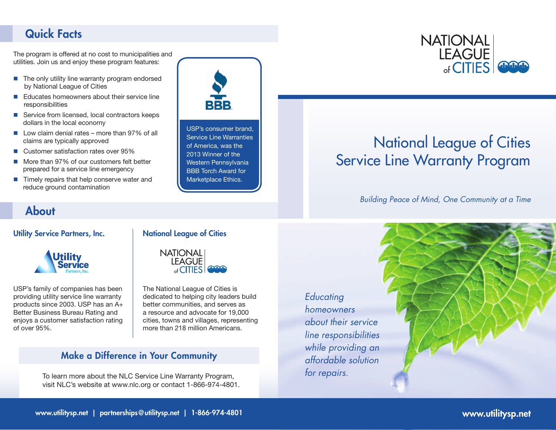### Quick Facts

The program is offered at no cost to municipalities and utilities. Join us and enjoy these program features:

- $\blacksquare$  The only utility line warranty program endorsed by National League of Cities
- $\blacksquare$  Educates homeowners about their service line responsibilities
- $\blacksquare$  Service from licensed, local contractors keeps dollars in the local economy
- $\blacksquare$  Low claim denial rates more than 97% of all claims are typically approved
- Customer satisfaction rates over 95%
- More than 97% of our customers felt better prepared for a service line emergency
- $\blacksquare$  Timely repairs that help conserve water and reduce ground contamination



USP's consumer brand, Service Line Warranties of America, was the 2013 Winner of the Western Pennsylvania BBB Torch Award for Marketplace Ethics.

### **NATIONAL LEAGUE**  $_{\text{of}}$  CITIES

# National League of Cities Service Line Warranty Program

*Building Peace of Mind, One Community at a Time*

## About

#### Utility Service Partners, Inc.



USP's family of companies has been providing utility service line warranty products since 2003. USP has an A+ Better Business Bureau Rating and enjoys a customer satisfaction rating of over 95%.

#### National League of Cities



The National League of Cities is dedicated to helping city leaders build better communities, and serves as a resource and advocate for 19,000 cities, towns and villages, representing more than 218 million Americans.

### Make a Difference in Your Community

To learn more about the NLC Service Line Warranty Program, visit NLC's website at www.nlc.org or contact 1-866-974-4801. *Educating homeowners about their service line responsibilities while providing an affordable solution for repairs.*